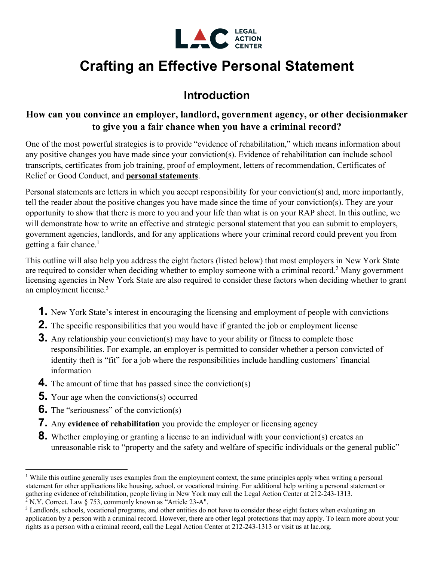

# **Crafting an Effective Personal Statement**

## **Introduction**

### **How can you convince an employer, landlord, government agency, or other decisionmaker to give you a fair chance when you have a criminal record?**

One of the most powerful strategies is to provide "evidence of rehabilitation," which means information about any positive changes you have made since your conviction(s). Evidence of rehabilitation can include school transcripts, certificates from job training, proof of employment, letters of recommendation, Certificates of Relief or Good Conduct, and **personal statements**.

Personal statements are letters in which you accept responsibility for your conviction(s) and, more importantly, tell the reader about the positive changes you have made since the time of your conviction(s). They are your opportunity to show that there is more to you and your life than what is on your RAP sheet. In this outline, we will demonstrate how to write an effective and strategic personal statement that you can submit to employers, government agencies, landlords, and for any applications where your criminal record could prevent you from getting a fair chance. 1

This outline will also help you address the eight factors (listed below) that most employers in New York State are required to consider when deciding whether to employ someone with a criminal record.2 Many government licensing agencies in New York State are also required to consider these factors when deciding whether to grant an employment license.3

- **1.** New York State's interest in encouraging the licensing and employment of people with convictions
- **2.** The specific responsibilities that you would have if granted the job or employment license
- **3.** Any relationship your conviction(s) may have to your ability or fitness to complete those responsibilities. For example, an employer is permitted to consider whether a person convicted of identity theft is "fit" for a job where the responsibilities include handling customers' financial information
- **4.** The amount of time that has passed since the conviction(s)
- **5.** Your age when the convictions(s) occurred
- **6.** The "seriousness" of the conviction(s)
- **7.** Any **evidence of rehabilitation** you provide the employer or licensing agency
- **8.** Whether employing or granting a license to an individual with your conviction(s) creates an unreasonable risk to "property and the safety and welfare of specific individuals or the general public"

<sup>&</sup>lt;sup>1</sup> While this outline generally uses examples from the employment context, the same principles apply when writing a personal statement for other applications like housing, school, or vocational training. For additional help writing a personal statement or gathering evidence of rehabilitation, people living in New York may call the Legal Action Center at 212-243-1313. <sup>2</sup> N.Y. Correct. Law  $\S$  753, commonly known as "Article 23-A".

<sup>&</sup>lt;sup>3</sup> Landlords, schools, vocational programs, and other entities do not have to consider these eight factors when evaluating an application by a person with a criminal record. However, there are other legal protections that may apply. To learn more about your rights as a person with a criminal record, call the Legal Action Center at 212-243-1313 or visit us at lac.org.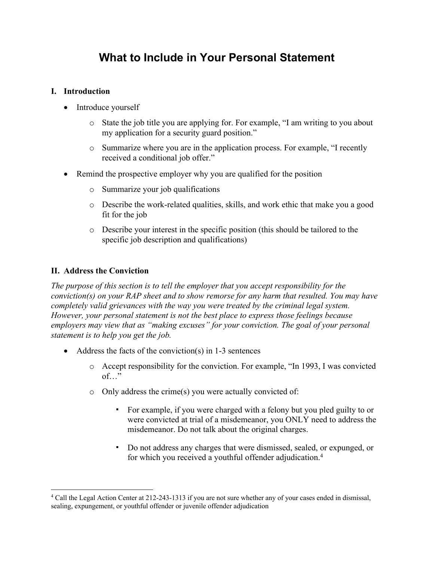### **What to Include in Your Personal Statement**

#### **I. Introduction**

- Introduce yourself
	- o State the job title you are applying for. For example, "I am writing to you about my application for a security guard position."
	- o Summarize where you are in the application process. For example, "I recently received a conditional job offer."
- Remind the prospective employer why you are qualified for the position
	- o Summarize your job qualifications
	- o Describe the work-related qualities, skills, and work ethic that make you a good fit for the job
	- o Describe your interest in the specific position (this should be tailored to the specific job description and qualifications)

#### **II. Address the Conviction**

*The purpose of this section is to tell the employer that you accept responsibility for the conviction(s) on your RAP sheet and to show remorse for any harm that resulted. You may have completely valid grievances with the way you were treated by the criminal legal system. However, your personal statement is not the best place to express those feelings because employers may view that as "making excuses" for your conviction. The goal of your personal statement is to help you get the job.*

- Address the facts of the conviction(s) in 1-3 sentences
	- o Accept responsibility for the conviction. For example, "In 1993, I was convicted of…"
	- o Only address the crime(s) you were actually convicted of:
		- For example, if you were charged with a felony but you pled guilty to or were convicted at trial of a misdemeanor, you ONLY need to address the misdemeanor. Do not talk about the original charges.
		- Do not address any charges that were dismissed, sealed, or expunged, or for which you received a youthful offender adjudication. 4

<sup>4</sup> Call the Legal Action Center at 212-243-1313 if you are not sure whether any of your cases ended in dismissal, sealing, expungement, or youthful offender or juvenile offender adjudication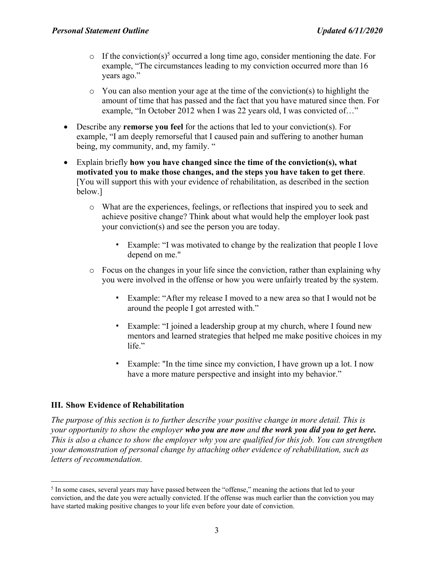- $\circ$  If the conviction(s)<sup>5</sup> occurred a long time ago, consider mentioning the date. For example, "The circumstances leading to my conviction occurred more than 16 years ago."
- $\circ$  You can also mention your age at the time of the conviction(s) to highlight the amount of time that has passed and the fact that you have matured since then. For example, "In October 2012 when I was 22 years old, I was convicted of…"
- Describe any **remorse you feel** for the actions that led to your conviction(s). For example, "I am deeply remorseful that I caused pain and suffering to another human being, my community, and, my family. "
- Explain briefly **how you have changed since the time of the conviction(s), what motivated you to make those changes, and the steps you have taken to get there**. [You will support this with your evidence of rehabilitation, as described in the section below.]
	- o What are the experiences, feelings, or reflections that inspired you to seek and achieve positive change? Think about what would help the employer look past your conviction(s) and see the person you are today.
		- Example: "I was motivated to change by the realization that people I love depend on me."
	- o Focus on the changes in your life since the conviction, rather than explaining why you were involved in the offense or how you were unfairly treated by the system.
		- Example: "After my release I moved to a new area so that I would not be around the people I got arrested with."
		- Example: "I joined a leadership group at my church, where I found new mentors and learned strategies that helped me make positive choices in my life."
		- Example: "In the time since my conviction, I have grown up a lot. I now have a more mature perspective and insight into my behavior."

#### **III. Show Evidence of Rehabilitation**

*The purpose of this section is to further describe your positive change in more detail. This is your opportunity to show the employer who you are now and the work you did you to get here.* This is also a chance to show the employer why you are qualified for this job. You can strengthen *your demonstration of personal change by attaching other evidence of rehabilitation, such as letters of recommendation.*

<sup>5</sup> In some cases, several years may have passed between the "offense," meaning the actions that led to your conviction, and the date you were actually convicted. If the offense was much earlier than the conviction you may have started making positive changes to your life even before your date of conviction.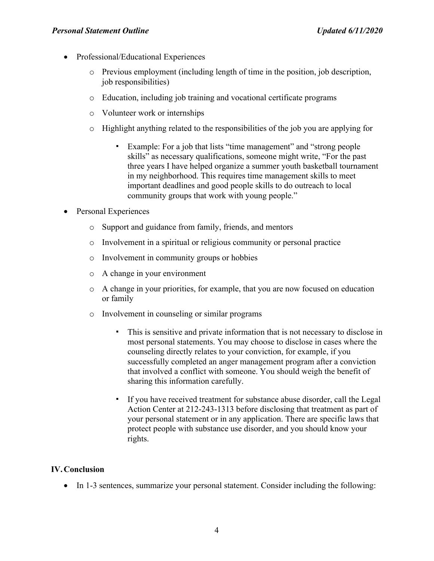- Professional/Educational Experiences
	- $\circ$  Previous employment (including length of time in the position, job description, job responsibilities)
	- o Education, including job training and vocational certificate programs
	- o Volunteer work or internships
	- o Highlight anything related to the responsibilities of the job you are applying for
		- Example: For a job that lists "time management" and "strong people skills" as necessary qualifications, someone might write, "For the past three years I have helped organize a summer youth basketball tournament in my neighborhood. This requires time management skills to meet important deadlines and good people skills to do outreach to local community groups that work with young people."
- Personal Experiences
	- o Support and guidance from family, friends, and mentors
	- o Involvement in a spiritual or religious community or personal practice
	- o Involvement in community groups or hobbies
	- o A change in your environment
	- o A change in your priorities, for example, that you are now focused on education or family
	- o Involvement in counseling or similar programs
		- This is sensitive and private information that is not necessary to disclose in most personal statements. You may choose to disclose in cases where the counseling directly relates to your conviction, for example, if you successfully completed an anger management program after a conviction that involved a conflict with someone. You should weigh the benefit of sharing this information carefully.
		- If you have received treatment for substance abuse disorder, call the Legal Action Center at 212-243-1313 before disclosing that treatment as part of your personal statement or in any application. There are specific laws that protect people with substance use disorder, and you should know your rights.

#### **IV.Conclusion**

• In 1-3 sentences, summarize your personal statement. Consider including the following: